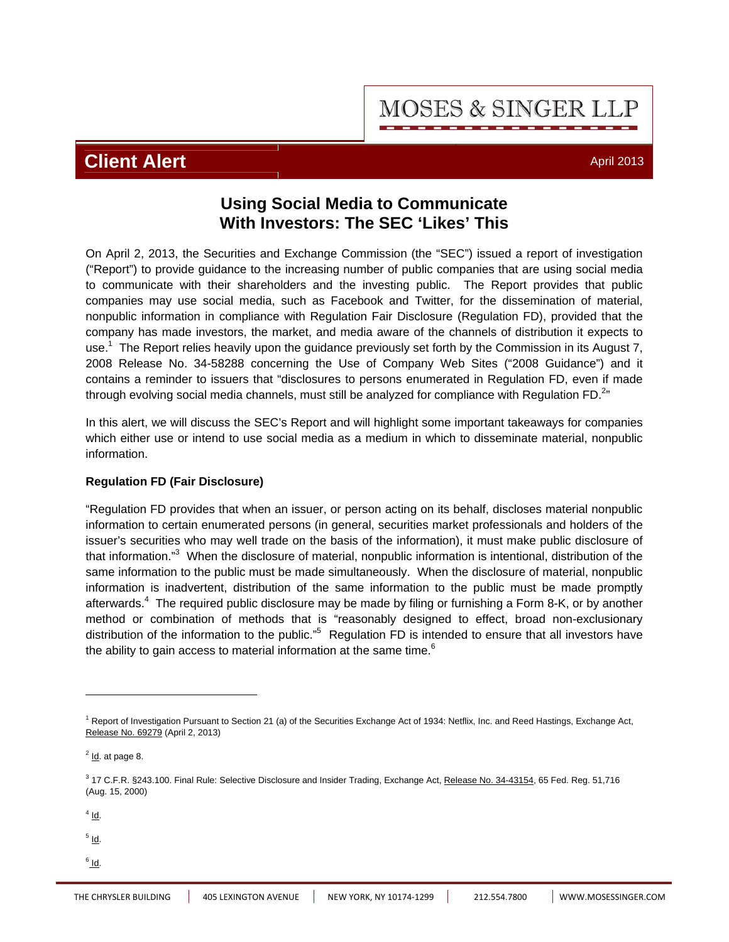**MOSES & SINGER LLP** 

## **Client Alert** And April 2013

### **Using Social Media to Communicate With Investors: The SEC 'Likes' This**

On April 2, 2013, the Securities and Exchange Commission (the "SEC") issued a report of investigation ("Report") to provide guidance to the increasing number of public companies that are using social media to communicate with their shareholders and the investing public. The Report provides that public companies may use social media, such as Facebook and Twitter, for the dissemination of material, nonpublic information in compliance with Regulation Fair Disclosure (Regulation FD), provided that the company has made investors, the market, and media aware of the channels of distribution it expects to use.<sup>1</sup> The Report relies heavily upon the guidance previously set forth by the Commission in its August 7, 2008 Release No. 34-58288 concerning the Use of Company Web Sites ("2008 Guidance") and it contains a reminder to issuers that "disclosures to persons enumerated in Regulation FD, even if made through evolving social media channels, must still be analyzed for compliance with Regulation FD. $^{2n}$ 

In this alert, we will discuss the SEC's Report and will highlight some important takeaways for companies which either use or intend to use social media as a medium in which to disseminate material, nonpublic information.

### **Regulation FD (Fair Disclosure)**

"Regulation FD provides that when an issuer, or person acting on its behalf, discloses material nonpublic information to certain enumerated persons (in general, securities market professionals and holders of the issuer's securities who may well trade on the basis of the information), it must make public disclosure of that information."<sup>3</sup> When the disclosure of material, nonpublic information is intentional, distribution of the same information to the public must be made simultaneously. When the disclosure of material, nonpublic information is inadvertent, distribution of the same information to the public must be made promptly afterwards.<sup>4</sup> The required public disclosure may be made by filing or furnishing a Form 8-K, or by another method or combination of methods that is "reasonably designed to effect, broad non-exclusionary distribution of the information to the public."<sup>5</sup> Regulation FD is intended to ensure that all investors have the ability to gain access to material information at the same time.<sup>6</sup>

 $4$  Id.

 $\overline{a}$ 

<sup>5</sup> l<u>d</u>.

 $^6$  Id.

<sup>&</sup>lt;sup>1</sup> Report of Investigation Pursuant to Section 21 (a) of the Securities Exchange Act of 1934: Netflix, Inc. and Reed Hastings, Exchange Act, Release No. 69279 (April 2, 2013)

 $<sup>2</sup>$  Id. at page 8.</sup>

<sup>&</sup>lt;sup>3</sup> 17 C.F.R. §243.100. Final Rule: Selective Disclosure and Insider Trading, Exchange Act, Release No. 34-43154, 65 Fed. Reg. 51,716 (Aug. 15, 2000)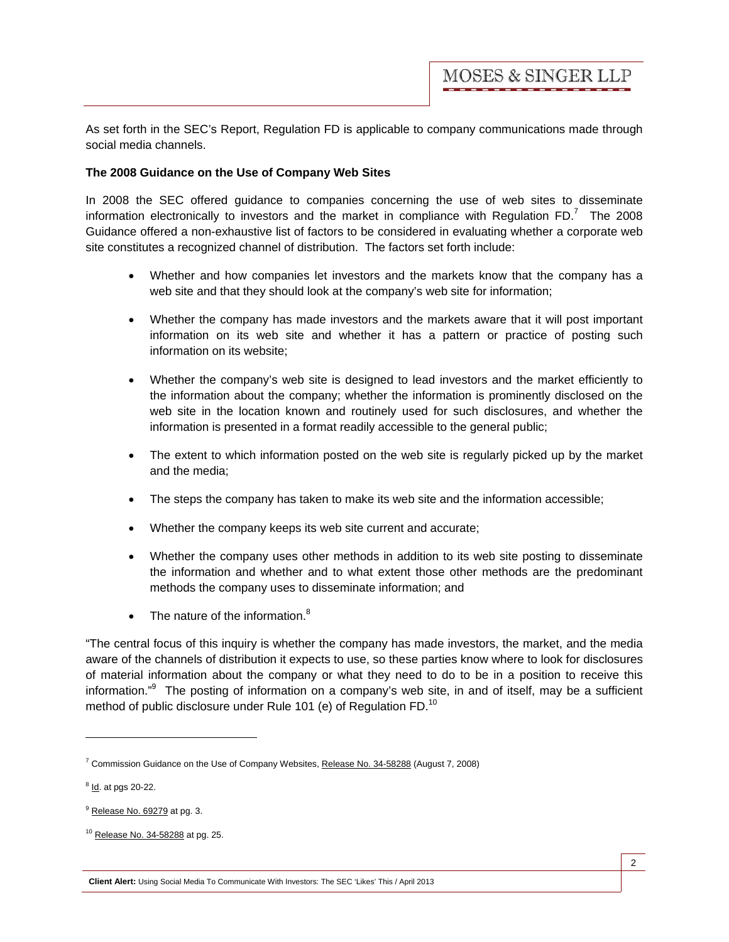As set forth in the SEC's Report, Regulation FD is applicable to company communications made through social media channels.

#### **The 2008 Guidance on the Use of Company Web Sites**

In 2008 the SEC offered guidance to companies concerning the use of web sites to disseminate information electronically to investors and the market in compliance with Regulation FD.<sup>7</sup> The 2008 Guidance offered a non-exhaustive list of factors to be considered in evaluating whether a corporate web site constitutes a recognized channel of distribution. The factors set forth include:

- Whether and how companies let investors and the markets know that the company has a web site and that they should look at the company's web site for information;
- Whether the company has made investors and the markets aware that it will post important information on its web site and whether it has a pattern or practice of posting such information on its website;
- Whether the company's web site is designed to lead investors and the market efficiently to the information about the company; whether the information is prominently disclosed on the web site in the location known and routinely used for such disclosures, and whether the information is presented in a format readily accessible to the general public;
- The extent to which information posted on the web site is regularly picked up by the market and the media;
- The steps the company has taken to make its web site and the information accessible;
- Whether the company keeps its web site current and accurate;
- Whether the company uses other methods in addition to its web site posting to disseminate the information and whether and to what extent those other methods are the predominant methods the company uses to disseminate information; and
- The nature of the information. $8$

"The central focus of this inquiry is whether the company has made investors, the market, and the media aware of the channels of distribution it expects to use, so these parties know where to look for disclosures of material information about the company or what they need to do to be in a position to receive this information."<sup>9</sup> The posting of information on a company's web site, in and of itself, may be a sufficient method of public disclosure under Rule 101 (e) of Regulation FD.<sup>10</sup>

 $\overline{a}$ 

<sup>&</sup>lt;sup>7</sup> Commission Guidance on the Use of Company Websites, Release No. 34-58288 (August 7, 2008)

<sup>&</sup>lt;sup>8</sup> ld. at pgs 20-22.

 $<sup>9</sup>$  Release No. 69279 at pg. 3.</sup>

<sup>10</sup> Release No. 34-58288 at pg. 25.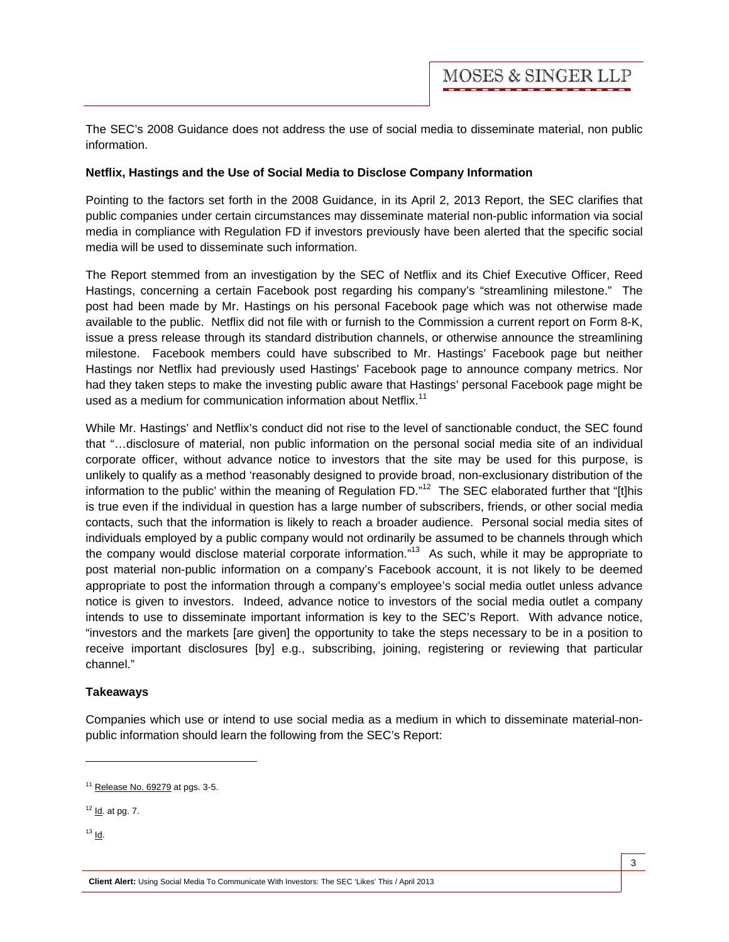The SEC's 2008 Guidance does not address the use of social media to disseminate material, non public information.

#### **Netflix, Hastings and the Use of Social Media to Disclose Company Information**

Pointing to the factors set forth in the 2008 Guidance, in its April 2, 2013 Report, the SEC clarifies that public companies under certain circumstances may disseminate material non-public information via social media in compliance with Regulation FD if investors previously have been alerted that the specific social media will be used to disseminate such information.

The Report stemmed from an investigation by the SEC of Netflix and its Chief Executive Officer, Reed Hastings, concerning a certain Facebook post regarding his company's "streamlining milestone." The post had been made by Mr. Hastings on his personal Facebook page which was not otherwise made available to the public. Netflix did not file with or furnish to the Commission a current report on Form 8-K, issue a press release through its standard distribution channels, or otherwise announce the streamlining milestone. Facebook members could have subscribed to Mr. Hastings' Facebook page but neither Hastings nor Netflix had previously used Hastings' Facebook page to announce company metrics. Nor had they taken steps to make the investing public aware that Hastings' personal Facebook page might be used as a medium for communication information about Netflix.<sup>11</sup>

While Mr. Hastings' and Netflix's conduct did not rise to the level of sanctionable conduct, the SEC found that "…disclosure of material, non public information on the personal social media site of an individual corporate officer, without advance notice to investors that the site may be used for this purpose, is unlikely to qualify as a method 'reasonably designed to provide broad, non-exclusionary distribution of the information to the public' within the meaning of Regulation FD." $12$  The SEC elaborated further that "[t]his is true even if the individual in question has a large number of subscribers, friends, or other social media contacts, such that the information is likely to reach a broader audience. Personal social media sites of individuals employed by a public company would not ordinarily be assumed to be channels through which the company would disclose material corporate information."<sup>13</sup> As such, while it may be appropriate to post material non-public information on a company's Facebook account, it is not likely to be deemed appropriate to post the information through a company's employee's social media outlet unless advance notice is given to investors. Indeed, advance notice to investors of the social media outlet a company intends to use to disseminate important information is key to the SEC's Report. With advance notice, "investors and the markets [are given] the opportunity to take the steps necessary to be in a position to receive important disclosures [by] e.g., subscribing, joining, registering or reviewing that particular channel."

#### **Takeaways**

Companies which use or intend to use social media as a medium in which to disseminate material-nonpublic information should learn the following from the SEC's Report:

- $12$  Id. at pg. 7.
- $13$  Id.

 $\overline{a}$ 

**Client Alert:** Using Social Media To Communicate With Investors: The SEC 'Likes' This / April 2013

 $11$  Release No. 69279 at pgs. 3-5.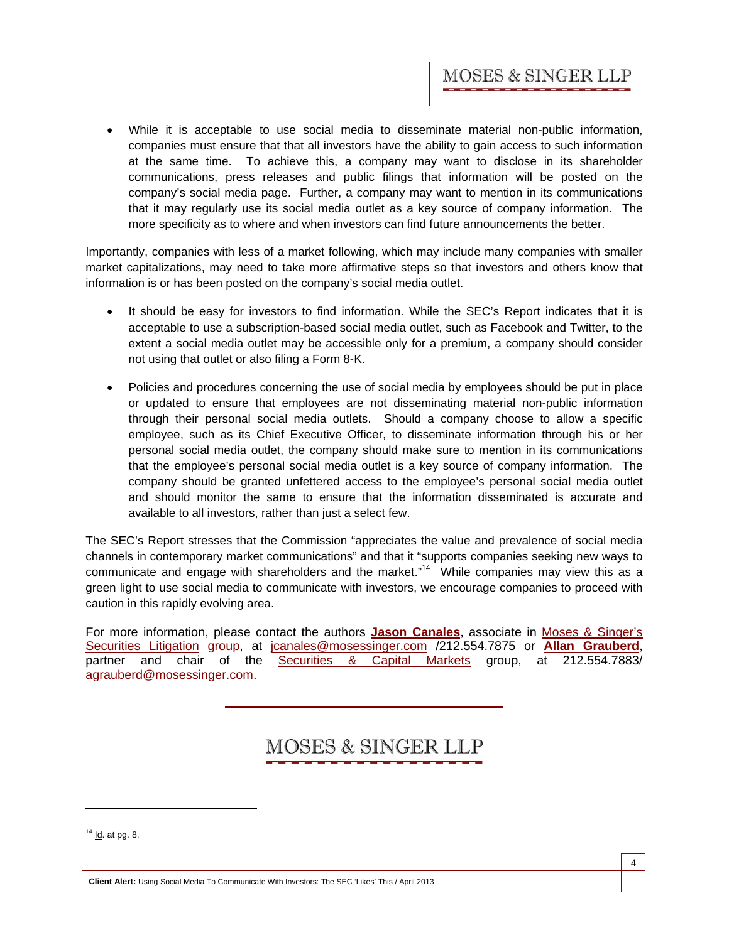• While it is acceptable to use social media to disseminate material non-public information, companies must ensure that that all investors have the ability to gain access to such information at the same time. To achieve this, a company may want to disclose in its shareholder communications, press releases and public filings that information will be posted on the company's social media page. Further, a company may want to mention in its communications that it may regularly use its social media outlet as a key source of company information. The more specificity as to where and when investors can find future announcements the better.

Importantly, companies with less of a market following, which may include many companies with smaller market capitalizations, may need to take more affirmative steps so that investors and others know that information is or has been posted on the company's social media outlet.

- It should be easy for investors to find information. While the SEC's Report indicates that it is acceptable to use a subscription-based social media outlet, such as Facebook and Twitter, to the extent a social media outlet may be accessible only for a premium, a company should consider not using that outlet or also filing a Form 8-K.
- Policies and procedures concerning the use of social media by employees should be put in place or updated to ensure that employees are not disseminating material non-public information through their personal social media outlets. Should a company choose to allow a specific employee, such as its Chief Executive Officer, to disseminate information through his or her personal social media outlet, the company should make sure to mention in its communications that the employee's personal social media outlet is a key source of company information. The company should be granted unfettered access to the employee's personal social media outlet and should monitor the same to ensure that the information disseminated is accurate and available to all investors, rather than just a select few.

The SEC's Report stresses that the Commission "appreciates the value and prevalence of social media channels in contemporary market communications" and that it "supports companies seeking new ways to communicate and engage with shareholders and the market."<sup>14</sup> While companies may view this as a green light to use social media to communicate with investors, we encourage companies to proceed with caution in this rapidly evolving area.

For more information, please contact the authors **[Jason Canales](http://www.mosessinger.com/personnel/jcanales/)**, associate in [Moses & Singer's](http://www.mosessinger.com/) [Securities Litigation](http://www.mosessinger.com/securitieslitigation/) group, at jcanales@mosessinger.com /212.554.7875 or **[Allan Grauberd](http://www.mosessinger.com/personnel/agrauberd/)**, partner and chair of the [Securities & Capital Markets](http://www.mosessinger.com/Securities-and-Capital-Markets/) group, at 212.554.7883/ agrauberd@mosessinger.com.

# **MOSES & SINGER LLP**

 $\overline{a}$ 

 $14$  Id. at pg. 8.

**Client Alert:** Using Social Media To Communicate With Investors: The SEC 'Likes' This / April 2013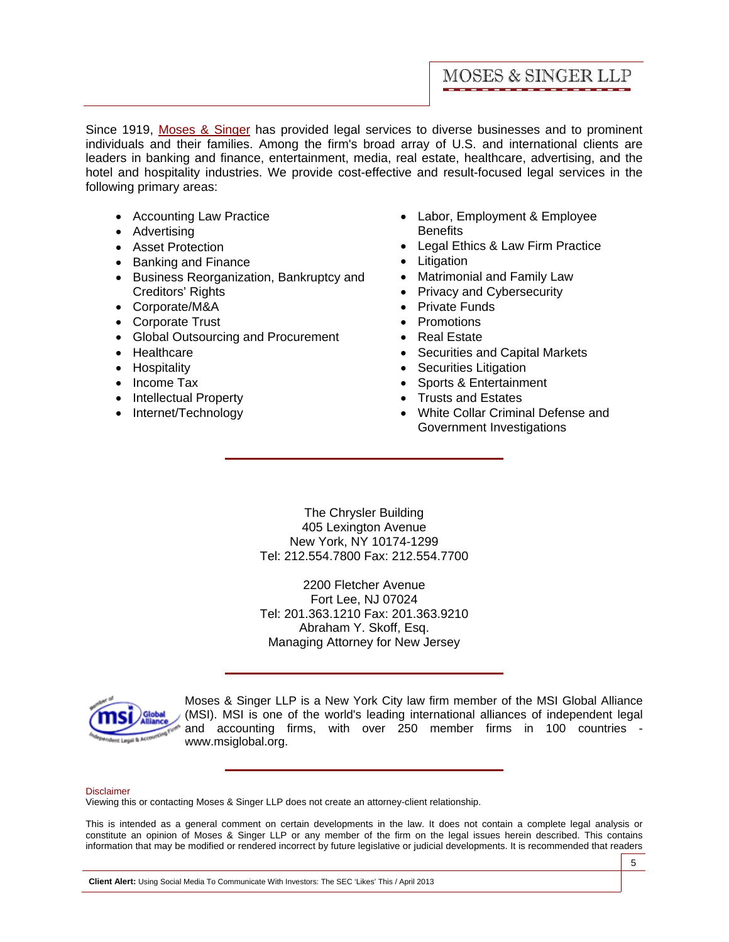Since 1919, [Moses & Singer](http://www.mosessinger.com/) has provided legal services to diverse businesses and to prominent individuals and their families. Among the firm's broad array of U.S. and international clients are leaders in banking and finance, entertainment, media, real estate, healthcare, advertising, and the hotel and hospitality industries. We provide cost-effective and result-focused legal services in the following primary areas:

- Accounting Law Practice
- Advertising
- Asset Protection
- Banking and Finance
- Business Reorganization, Bankruptcy and Creditors' Rights
- Corporate/M&A
- Corporate Trust
- Global Outsourcing and Procurement
- Healthcare
- Hospitality
- Income Tax
- Intellectual Property
- Internet/Technology
- Labor, Employment & Employee **Benefits**
- Legal Ethics & Law Firm Practice
- Litigation
- Matrimonial and Family Law
- Privacy and Cybersecurity
- Private Funds
- Promotions
- Real Estate
- Securities and Capital Markets
- Securities Litigation
- Sports & Entertainment
- Trusts and Estates
- White Collar Criminal Defense and Government Investigations

The Chrysler Building 405 Lexington Avenue New York, NY 10174-1299 Tel: 212.554.7800 Fax: 212.554.7700

2200 Fletcher Avenue Fort Lee, NJ 07024 Tel: 201.363.1210 Fax: 201.363.9210 Abraham Y. Skoff, Esq. Managing Attorney for New Jersey



Moses & Singer LLP is a New York City law firm member of the MSI Global Alliance (MSI). MSI is one of the world's leading international alliances of independent legal and accounting firms, with over 250 member firms in 100 countries www.msiglobal.org.

#### Disclaimer

Viewing this or contacting Moses & Singer LLP does not create an attorney-client relationship.

This is intended as a general comment on certain developments in the law. It does not contain a complete legal analysis or constitute an opinion of Moses & Singer LLP or any member of the firm on the legal issues herein described. This contains information that may be modified or rendered incorrect by future legislative or judicial developments. It is recommended that readers